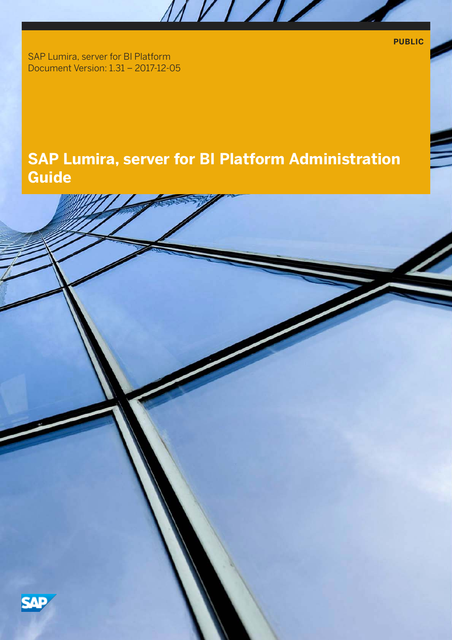**PUBLIC**

SAP Lumira, server for BI Platform Document Version: 1.31 – 2017-12-05

# **SAP Lumira, server for BI Platform Administration Guide**

MVI/IZ

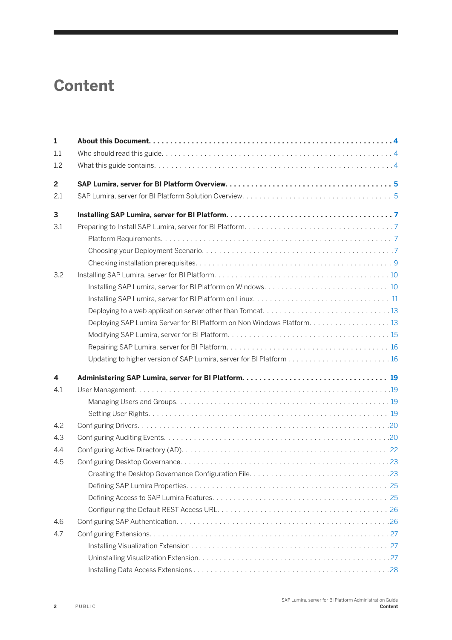# **Content**

| $\mathbf{1}$   |     |
|----------------|-----|
| 1.1            |     |
| 1.2            |     |
| $\overline{2}$ |     |
| 2.1            |     |
| 3              |     |
| 3.1            |     |
|                |     |
|                |     |
|                |     |
| 3.2            |     |
|                |     |
|                |     |
|                |     |
|                |     |
|                |     |
|                |     |
|                |     |
| 4              |     |
| 4.1            |     |
|                |     |
|                |     |
| 4.2            |     |
| 4.3            |     |
| 4.4            |     |
| 4.5            |     |
|                | .23 |
|                |     |
|                |     |
|                |     |
| 4.6            |     |
| 4.7            |     |
|                |     |
|                |     |
|                |     |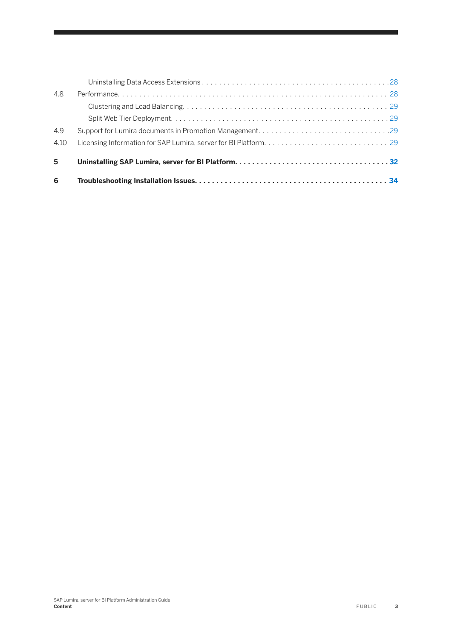| 6    |  |
|------|--|
| 5    |  |
| 4.10 |  |
| 4.9  |  |
|      |  |
|      |  |
| 4.8  |  |
|      |  |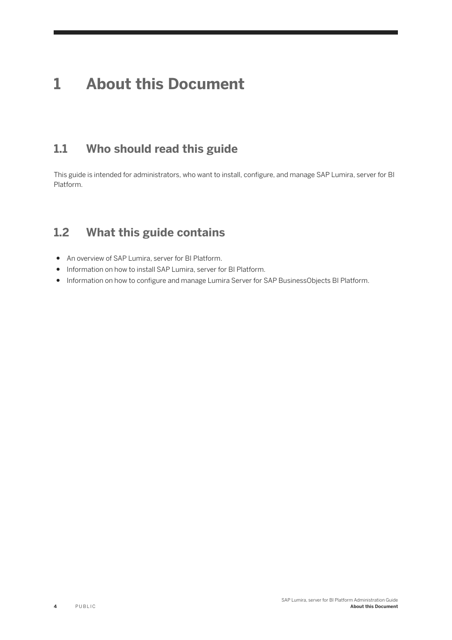# <span id="page-3-0"></span>**1 About this Document**

## **1.1 Who should read this guide**

This guide is intended for administrators, who want to install, configure, and manage SAP Lumira, server for BI Platform.

## **1.2 What this guide contains**

- An overview of SAP Lumira, server for BI Platform.
- Information on how to install SAP Lumira, server for BI Platform.
- Information on how to configure and manage Lumira Server for SAP BusinessObjects BI Platform.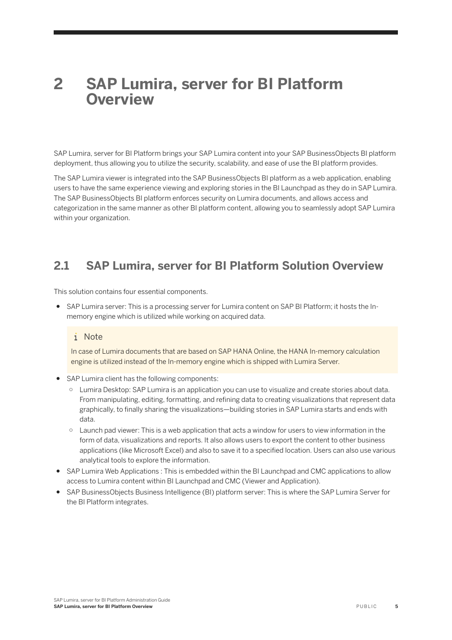# <span id="page-4-0"></span>**2 SAP Lumira, server for BI Platform Overview**

SAP Lumira, server for BI Platform brings your SAP Lumira content into your SAP BusinessObjects BI platform deployment, thus allowing you to utilize the security, scalability, and ease of use the BI platform provides.

The SAP Lumira viewer is integrated into the SAP BusinessObjects BI platform as a web application, enabling users to have the same experience viewing and exploring stories in the BI Launchpad as they do in SAP Lumira. The SAP BusinessObjects BI platform enforces security on Lumira documents, and allows access and categorization in the same manner as other BI platform content, allowing you to seamlessly adopt SAP Lumira within your organization.

## **2.1 SAP Lumira, server for BI Platform Solution Overview**

This solution contains four essential components.

● SAP Lumira server: This is a processing server for Lumira content on SAP BI Platform; it hosts the Inmemory engine which is utilized while working on acquired data.

### i Note

In case of Lumira documents that are based on SAP HANA Online, the HANA In-memory calculation engine is utilized instead of the In-memory engine which is shipped with Lumira Server.

- SAP Lumira client has the following components:
	- Lumira Desktop: SAP Lumira is an application you can use to visualize and create stories about data. From manipulating, editing, formatting, and refining data to creating visualizations that represent data graphically, to finally sharing the visualizations—building stories in SAP Lumira starts and ends with data.
	- Launch pad viewer: This is a web application that acts a window for users to view information in the form of data, visualizations and reports. It also allows users to export the content to other business applications (like Microsoft Excel) and also to save it to a specified location. Users can also use various analytical tools to explore the information.
- SAP Lumira Web Applications : This is embedded within the BI Launchpad and CMC applications to allow access to Lumira content within BI Launchpad and CMC (Viewer and Application).
- SAP BusinessObjects Business Intelligence (BI) platform server: This is where the SAP Lumira Server for the BI Platform integrates.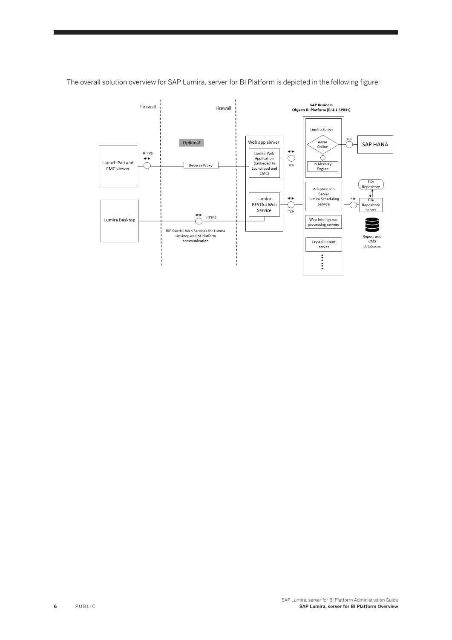

The overall solution overview for SAP Lumira, server for BI Platform is depicted in the following figure: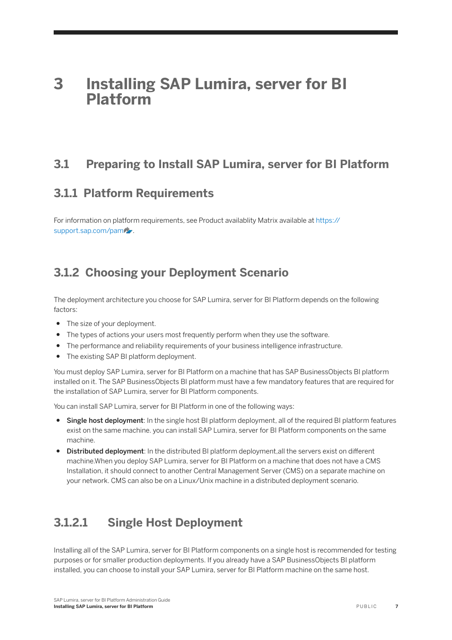# <span id="page-6-0"></span>**3 Installing SAP Lumira, server for BI Platform**

## **3.1 Preparing to Install SAP Lumira, server for BI Platform**

## **3.1.1 Platform Requirements**

For information on platform requirements, see Product availablity Matrix available at [https://](http://help.sap.com/disclaimer?site=https%3A%2F%2Fsupport.sap.com%2Fpam) [support.sap.com/pam](http://help.sap.com/disclaimer?site=https%3A%2F%2Fsupport.sap.com%2Fpam) ...

## **3.1.2 Choosing your Deployment Scenario**

The deployment architecture you choose for SAP Lumira, server for BI Platform depends on the following factors:

- The size of your deployment.
- The types of actions your users most frequently perform when they use the software.
- The performance and reliability requirements of your business intelligence infrastructure.
- The existing SAP BI platform deployment.

You must deploy SAP Lumira, server for BI Platform on a machine that has SAP BusinessObjects BI platform installed on it. The SAP BusinessObjects BI platform must have a few mandatory features that are required for the installation of SAP Lumira, server for BI Platform components.

You can install SAP Lumira, server for BI Platform in one of the following ways:

- Single host deployment: In the single host BI platform deployment, all of the required BI platform features exist on the same machine. you can install SAP Lumira, server for BI Platform components on the same machine.
- Distributed deployment: In the distributed BI platform deployment, all the servers exist on different machine.When you deploy SAP Lumira, server for BI Platform on a machine that does not have a CMS Installation, it should connect to another Central Management Server (CMS) on a separate machine on your network. CMS can also be on a Linux/Unix machine in a distributed deployment scenario.

## **3.1.2.1 Single Host Deployment**

Installing all of the SAP Lumira, server for BI Platform components on a single host is recommended for testing purposes or for smaller production deployments. If you already have a SAP BusinessObjects BI platform installed, you can choose to install your SAP Lumira, server for BI Platform machine on the same host.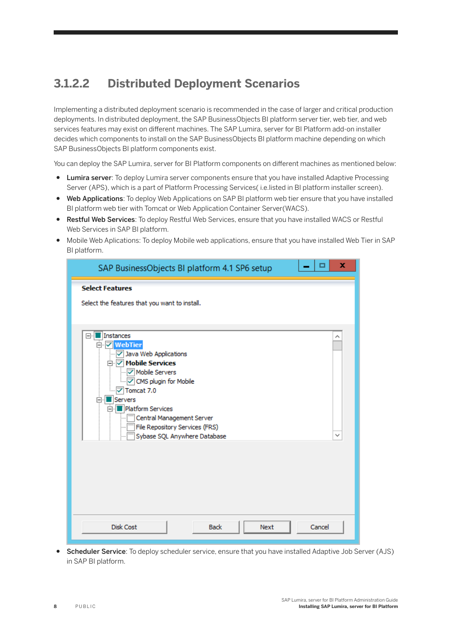## <span id="page-7-0"></span>**3.1.2.2 Distributed Deployment Scenarios**

Implementing a distributed deployment scenario is recommended in the case of larger and critical production deployments. In distributed deployment, the SAP BusinessObjects BI platform server tier, web tier, and web services features may exist on different machines. The SAP Lumira, server for BI Platform add-on installer decides which components to install on the SAP BusinessObjects BI platform machine depending on which SAP BusinessObjects BI platform components exist.

You can deploy the SAP Lumira, server for BI Platform components on different machines as mentioned below:

- Lumira server: To deploy Lumira server components ensure that you have installed Adaptive Processing Server (APS), which is a part of Platform Processing Services( i.e.listed in BI platform installer screen).
- Web Applications: To deploy Web Applications on SAP BI platform web tier ensure that you have installed BI platform web tier with Tomcat or Web Application Container Server(WACS).
- Restful Web Services: To deploy Restful Web Services, ensure that you have installed WACS or Restful Web Services in SAP BI platform.
- Mobile Web Aplications: To deploy Mobile web applications, ensure that you have installed Web Tier in SAP BI platform.

| ×<br>□<br>SAP BusinessObjects BI platform 4.1 SP6 setup                                                                                                                                                                                                                                                                      |
|------------------------------------------------------------------------------------------------------------------------------------------------------------------------------------------------------------------------------------------------------------------------------------------------------------------------------|
| <b>Select Features</b>                                                                                                                                                                                                                                                                                                       |
| Select the features that you want to install.                                                                                                                                                                                                                                                                                |
| □ Instances<br>Л<br>□ ▽ WebTier<br>Java Web Applications<br>⊡∙ <mark>⊽</mark> Mobile Services<br><b>V</b> Mobile Servers<br>MODIC Plugin for Mobile<br>$\sqrt{2}$ Tomcat 7.0<br>Servers<br>84<br>Platform Services<br>Ρ.<br>Central Management Server<br>File Repository Services (FRS)<br>Sybase SQL Anywhere Database<br>v |
| <b>Disk Cost</b><br>Next<br><b>Back</b><br>Cancel                                                                                                                                                                                                                                                                            |

● Scheduler Service: To deploy scheduler service, ensure that you have installed Adaptive Job Server (AJS) in SAP BI platform.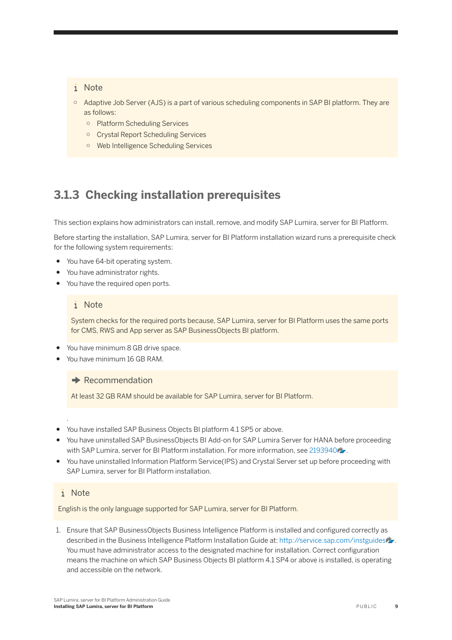### <span id="page-8-0"></span>i Note

- Adaptive Job Server (AJS) is a part of various scheduling components in SAP BI platform. They are as follows:
	- Platform Scheduling Services
	- Crystal Report Scheduling Services
	- Web Intelligence Scheduling Services

## **3.1.3 Checking installation prerequisites**

This section explains how administrators can install, remove, and modify SAP Lumira, server for BI Platform.

Before starting the installation, SAP Lumira, server for BI Platform installation wizard runs a prerequisite check for the following system requirements:

- You have 64-bit operating system.
- You have administrator rights.
- You have the required open ports.

#### i Note

System checks for the required ports because, SAP Lumira, server for BI Platform uses the same ports for CMS, RWS and App server as SAP BusinessObjects BI platform.

- You have minimum 8 GB drive space.
- You have minimum 16 GB RAM.

 $\rightarrow$  Recommendation

At least 32 GB RAM should be available for SAP Lumira, server for BI Platform.

- You have installed SAP Business Objects BI platform 4.1 SP5 or above.
- You have uninstalled SAP BusinessObjects BI Add-on for SAP Lumira Server for HANA before proceeding with SAP Lumira, server for BI Platform installation. For more information, see [2193940](http://help.sap.com/disclaimer?site=https://launchpad.support.sap.com/#/notes/2193940)
- You have uninstalled Information Platform Service(IPS) and Crystal Server set up before proceeding with SAP Lumira, server for BI Platform installation.

### i Note

.

English is the only language supported for SAP Lumira, server for BI Platform.

1. Ensure that SAP BusinessObjects Business Intelligence Platform is installed and configured correctly as described in the Business Intelligence Platform Installation Guide at: [http://service.sap.com/instguides](http://help.sap.com/disclaimer?site=http%3A%2F%2Fservice.sap.com%2Finstguides) . You must have administrator access to the designated machine for installation. Correct configuration means the machine on which SAP Business Objects BI platform 4.1 SP4 or above is installed, is operating and accessible on the network.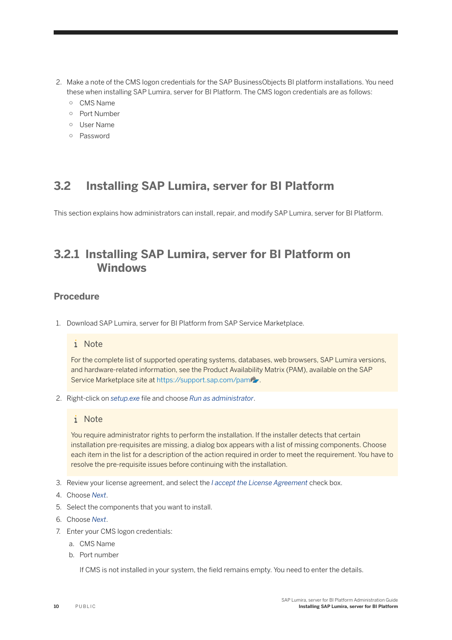- <span id="page-9-0"></span>2. Make a note of the CMS logon credentials for the SAP BusinessObjects BI platform installations. You need these when installing SAP Lumira, server for BI Platform. The CMS logon credentials are as follows:
	- CMS Name
	- Port Number
	- User Name
	- Password

## **3.2 Installing SAP Lumira, server for BI Platform**

This section explains how administrators can install, repair, and modify SAP Lumira, server for BI Platform.

## **3.2.1 Installing SAP Lumira, server for BI Platform on Windows**

### **Procedure**

1. Download SAP Lumira, server for BI Platform from SAP Service Marketplace.

#### i Note

For the complete list of supported operating systems, databases, web browsers, SAP Lumira versions, and hardware-related information, see the Product Availability Matrix (PAM), available on the SAP Service Marketplace site at [https://support.sap.com/pam](http://help.sap.com/disclaimer?site=https%3A%2F%2Fsupport.sap.com%2Fpam) ...

2. Right-click on *setup.exe* file and choose *Run as administrator*.

#### i Note

You require administrator rights to perform the installation. If the installer detects that certain installation pre-requisites are missing, a dialog box appears with a list of missing components. Choose each item in the list for a description of the action required in order to meet the requirement. You have to resolve the pre-requisite issues before continuing with the installation.

- 3. Review your license agreement, and select the *I accept the License Agreement* check box.
- 4. Choose *Next*.
- 5. Select the components that you want to install.
- 6. Choose *Next*.
- 7. Enter your CMS logon credentials:
	- a. CMS Name
	- b. Port number

If CMS is not installed in your system, the field remains empty. You need to enter the details.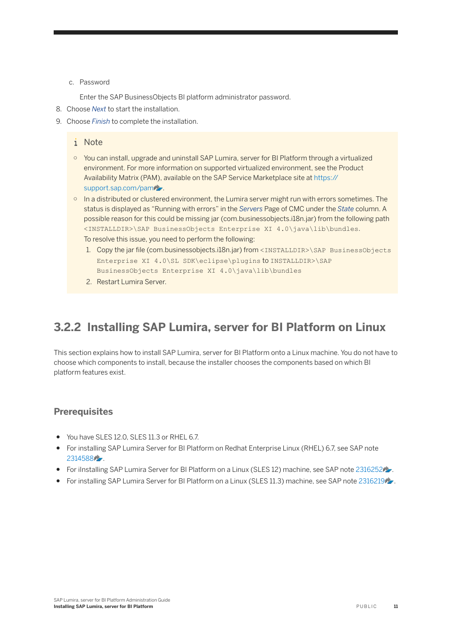#### <span id="page-10-0"></span>c. Password

Enter the SAP BusinessObjects BI platform administrator password.

- 8. Choose *Next* to start the installation.
- 9. Choose *Finish* to complete the installation.

#### i Note

- You can install, upgrade and uninstall SAP Lumira, server for BI Platform through a virtualized environment. For more information on supported virtualized environment, see the Product Availability Matrix (PAM), available on the SAP Service Marketplace site at [https://](http://help.sap.com/disclaimer?site=https%3A%2F%2Fsupport.sap.com%2Fpam) [support.sap.com/pam](http://help.sap.com/disclaimer?site=https%3A%2F%2Fsupport.sap.com%2Fpam) ...
- In a distributed or clustered environment, the Lumira server might run with errors sometimes. The status is displayed as "Running with errors" in the *Servers* Page of CMC under the *State* column. A possible reason for this could be missing jar (com.businessobjects.i18n.jar) from the following path <INSTALLDIR>\SAP BusinessObjects Enterprise XI 4.0\java\lib\bundles. To resolve this issue, you need to perform the following:
	- 1. Copy the jar file (com.businessobjects.i18n.jar) from <INSTALLDIR>\SAP BusinessObjects Enterprise XI 4.0\SL SDK\eclipse\plugins to INSTALLDIR>\SAP BusinessObjects Enterprise XI 4.0\java\lib\bundles
	- 2. Restart Lumira Server.

## **3.2.2 Installing SAP Lumira, server for BI Platform on Linux**

This section explains how to install SAP Lumira, server for BI Platform onto a Linux machine. You do not have to choose which components to install, because the installer chooses the components based on which BI platform features exist.

### **Prerequisites**

- You have SLES 12.0, SLES 11.3 or RHEL 6.7.
- For installing SAP Lumira Server for BI Platform on Redhat Enterprise Linux (RHEL) 6.7, see SAP note [2314588](http://help.sap.com/disclaimer?site=https://launchpad.support.sap.com/#/notes/2314588) .
- For iInstalling SAP Lumira Server for BI Platform on a Linux (SLES 12) machine, see SAP note [2316252](http://help.sap.com/disclaimer?site=https://launchpad.support.sap.com/#/notes/2316252) ...
- For installing SAP Lumira Server for BI Platform on a Linux (SLES 11.3) machine, see SAP note [2316219](http://help.sap.com/disclaimer?site=https://launchpad.support.sap.com/#/notes/2316219).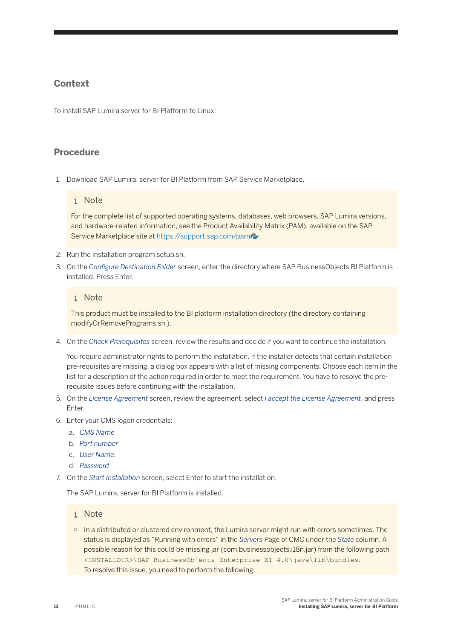### **Context**

To install SAP Lumira server for BI Platform to Linux:

### **Procedure**

1. Download SAP Lumira, server for BI Platform from SAP Service Marketplace.

#### i Note

For the complete list of supported operating systems, databases, web browsers, SAP Lumira versions, and hardware-related information, see the Product Availability Matrix (PAM), available on the SAP Service Marketplace site at [https://support.sap.com/pam](http://help.sap.com/disclaimer?site=https%3A%2F%2Fsupport.sap.com%2Fpam) ...

- 2. Run the installation program setup.sh.
- 3. On the *Configure Destination Folder* screen, enter the directory where SAP BusinessObjects BI Platform is installed. Press Enter.

### i Note

This product must be installed to the BI platform installation directory (the directory containing modifyOrRemovePrograms.sh ).

4. On the *Check Prerequisites* screen, review the results and decide if you want to continue the installation.

You require administrator rights to perform the installation. If the installer detects that certain installation pre-requisites are missing, a dialog box appears with a list of missing components. Choose each item in the list for a description of the action required in order to meet the requirement. You have to resolve the prerequisite issues before continuing with the installation.

- 5. On the *License Agreement* screen, review the agreement, select *I accept the License Agreement*, and press **Enter**
- 6. Enter your CMS logon credentials:
	- a. *CMS Name*
	- b. *Port number*
	- c. *User Name.*
	- d. *Password*
- 7. On the *Start Installation* screen, select Enter to start the installation.

The SAP Lumira, server for BI Platform is installed.

#### i Note

○ In a distributed or clustered environment, the Lumira server might run with errors sometimes. The status is displayed as "Running with errors" in the *Servers* Page of CMC under the *State* column. A possible reason for this could be missing jar (com.businessobjects.i18n.jar) from the following path <INSTALLDIR>\SAP BusinessObjects Enterprise XI 4.0\java\lib\bundles. To resolve this issue, you need to perform the following: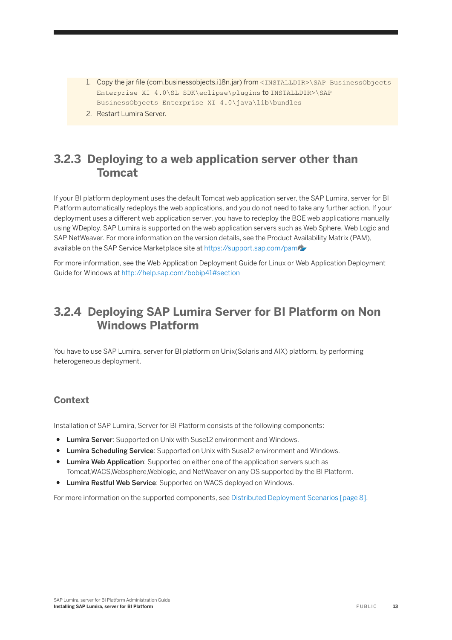- <span id="page-12-0"></span>1. Copy the jar file (com.businessobjects.i18n.jar) from <INSTALLDIR>\SAP BusinessObjects Enterprise XI 4.0\SL SDK\eclipse\plugins to INSTALLDIR>\SAP BusinessObjects Enterprise XI 4.0\java\lib\bundles
- 2. Restart Lumira Server.

## **3.2.3 Deploying to a web application server other than Tomcat**

If your BI platform deployment uses the default Tomcat web application server, the SAP Lumira, server for BI Platform automatically redeploys the web applications, and you do not need to take any further action. If your deployment uses a different web application server, you have to redeploy the BOE web applications manually using WDeploy. SAP Lumira is supported on the web application servers such as Web Sphere, Web Logic and SAP NetWeaver. For more information on the version details, see the Product Availability Matrix (PAM), available on the SAP Service Marketplace site at [https://support.sap.com/pam](http://help.sap.com/disclaimer?site=https%3A%2F%2Fsupport.sap.com%2Fpam)e

For more information, see the Web Application Deployment Guide for Linux or Web Application Deployment Guide for Windows at<http://help.sap.com/bobip41#section>

## **3.2.4 Deploying SAP Lumira Server for BI Platform on Non Windows Platform**

You have to use SAP Lumira, server for BI platform on Unix(Solaris and AIX) platform, by performing heterogeneous deployment.

### **Context**

Installation of SAP Lumira, Server for BI Platform consists of the following components:

- Lumira Server: Supported on Unix with Suse12 environment and Windows.
- Lumira Scheduling Service: Supported on Unix with Suse12 environment and Windows.
- Lumira Web Application: Supported on either one of the application servers such as Tomcat,WACS,Websphere,Weblogic, and NetWeaver on any OS supported by the BI Platform.
- Lumira Restful Web Service: Supported on WACS deployed on Windows.

For more information on the supported components, see [Distributed Deployment Scenarios \[page 8\]](#page-7-0).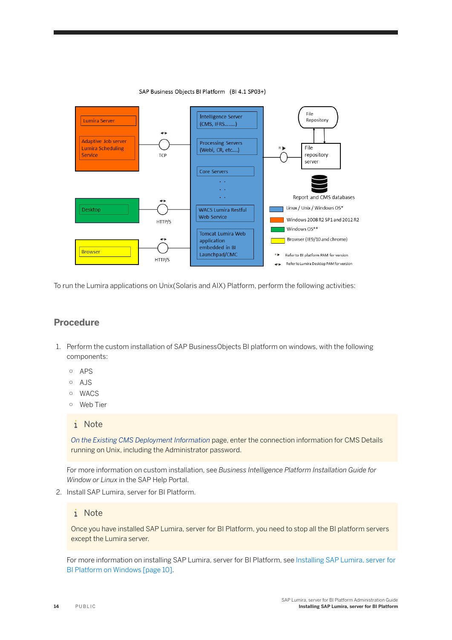

SAP Business Objects BI Platform (BI 4.1 SP03+)

To run the Lumira applications on Unix(Solaris and AIX) Platform, perform the following activities:

### **Procedure**

- 1. Perform the custom installation of SAP BusinessObjects BI platform on windows, with the following components:
	- APS
	- AJS
	- WACS
	- Web Tier

#### i Note

*On the Existing CMS Deployment Information* page, enter the connection information for CMS Details running on Unix, including the Administrator password.

For more information on custom installation, see *Business Intelligence Platform Installation Guide for Window or Linux* in the SAP Help Portal.

2. Install SAP Lumira, server for BI Platform.

### i Note

Once you have installed SAP Lumira, server for BI Platform, you need to stop all the BI platform servers except the Lumira server.

For more information on installing SAP Lumira, server for BI Platform, see [Installing SAP Lumira, server for](#page-9-0) [BI Platform on Windows \[page 10\].](#page-9-0)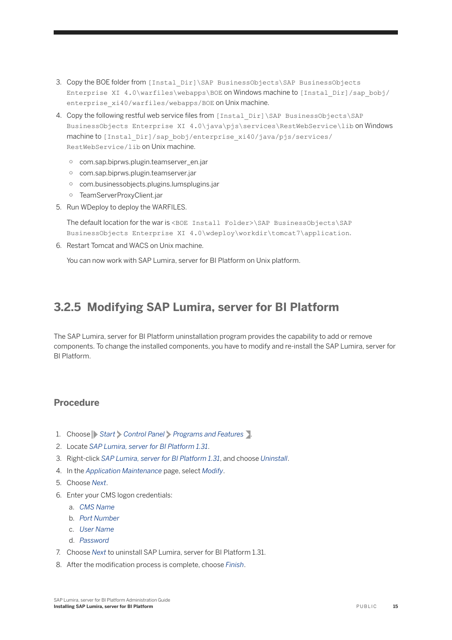- <span id="page-14-0"></span>3. Copy the BOE folder from [Instal\_Dir]\SAP BusinessObjects\SAP BusinessObjects Enterprise XI 4.0\warfiles\webapps\BOE on Windows machine to [Instal\_Dir]/sap\_bobj/ enterprise\_xi40/warfiles/webapps/BOE on Unix machine.
- 4. Copy the following restful web service files from [Instal\_Dir]\SAP\_BusinessObjects\SAP BusinessObjects Enterprise XI 4.0\java\pjs\services\RestWebService\lib on Windows machine to [Instal\_Dir]/sap\_bobj/enterprise\_xi40/java/pjs/services/ RestWebService/lib on Unix machine.
	- com.sap.biprws.plugin.teamserver\_en.jar
	- com.sap.biprws.plugin.teamserver.jar
	- com.businessobjects.plugins.lumsplugins.jar
	- TeamServerProxyClient.jar
- 5. Run WDeploy to deploy the WARFILES.

The default location for the war is <BOE Install Folder>\SAP BusinessObjects\SAP BusinessObjects Enterprise XI 4.0\wdeploy\workdir\tomcat7\application.

6. Restart Tomcat and WACS on Unix machine.

You can now work with SAP Lumira, server for BI Platform on Unix platform.

## **3.2.5 Modifying SAP Lumira, server for BI Platform**

The SAP Lumira, server for BI Platform uninstallation program provides the capability to add or remove components. To change the installed components, you have to modify and re-install the SAP Lumira, server for BI Platform.

### **Procedure**

- 1. Choose **Start** *Control Panel Programs and Features* .
- 2. Locate *SAP Lumira, server for BI Platform 1.31*.
- 3. Right-click *SAP Lumira, server for BI Platform 1.31*, and choose *Uninstall*.
- 4. In the *Application Maintenance* page, select *Modify*.
- 5. Choose *Next*.
- 6. Enter your CMS logon credentials:
	- a. *CMS Name*
	- b. *Port Number*
	- c. *User Name*
	- d. *Password*
- 7. Choose *Next* to uninstall SAP Lumira, server for BI Platform 1.31.
- 8. After the modification process is complete, choose *Finish*.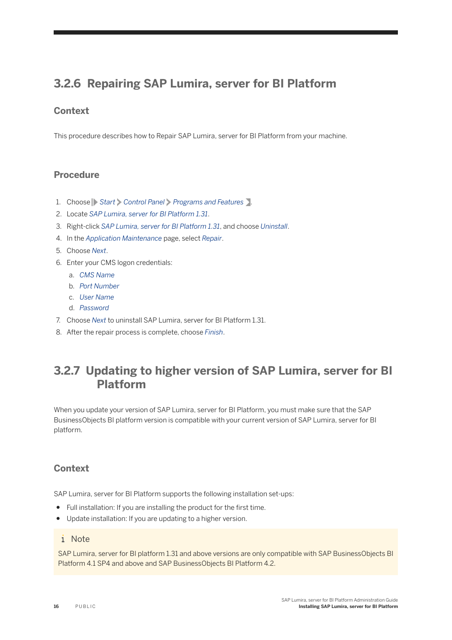## <span id="page-15-0"></span>**3.2.6 Repairing SAP Lumira, server for BI Platform**

## **Context**

This procedure describes how to Repair SAP Lumira, server for BI Platform from your machine.

### **Procedure**

- 1. Choose **Start** *Control Panel Programs and Features* .
- 2. Locate *SAP Lumira, server for BI Platform 1.31*.
- 3. Right-click *SAP Lumira, server for BI Platform 1.31*, and choose *Uninstall*.
- 4. In the *Application Maintenance* page, select *Repair*.
- 5. Choose *Next*.
- 6. Enter your CMS logon credentials:
	- a. *CMS Name*
	- b. *Port Number*
	- c. *User Name*
	- d. *Password*
- 7. Choose *Next* to uninstall SAP Lumira, server for BI Platform 1.31.
- 8. After the repair process is complete, choose *Finish*.

## **3.2.7 Updating to higher version of SAP Lumira, server for BI Platform**

When you update your version of SAP Lumira, server for BI Platform, you must make sure that the SAP BusinessObjects BI platform version is compatible with your current version of SAP Lumira, server for BI platform.

### **Context**

SAP Lumira, server for BI Platform supports the following installation set-ups:

- Full installation: If you are installing the product for the first time.
- Update installation: If you are updating to a higher version.

#### i Note

SAP Lumira, server for BI platform 1.31 and above versions are only compatible with SAP BusinessObjects BI Platform 4.1 SP4 and above and SAP BusinessObjects BI Platform 4.2.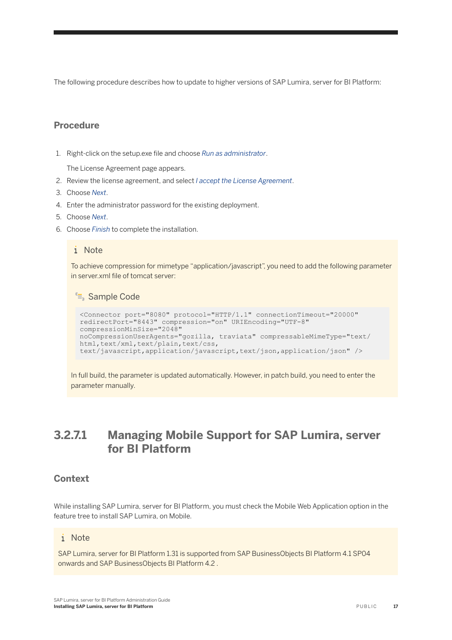The following procedure describes how to update to higher versions of SAP Lumira, server for BI Platform:

### **Procedure**

1. Right-click on the setup.exe file and choose *Run as administrator*.

The License Agreement page appears.

- 2. Review the license agreement, and select *I accept the License Agreement*.
- 3. Choose *Next*.
- 4. Enter the administrator password for the existing deployment.
- 5. Choose *Next*.
- 6. Choose *Finish* to complete the installation.

#### i Note

To achieve compression for mimetype "application/javascript", you need to add the following parameter in server.xml file of tomcat server:

<sup>"</sup>≡ Sample Code

```
<Connector port="8080" protocol="HTTP/1.1" connectionTimeout="20000" 
redirectPort="8443" compression="on" URIEncoding="UTF-8" 
compressionMinSize="2048"
noCompressionUserAgents="gozilla, traviata" compressableMimeType="text/
html,text/xml,text/plain,text/css,
text/javascript,application/javascript,text/json,application/json" />
```
In full build, the parameter is updated automatically. However, in patch build, you need to enter the parameter manually.

## **3.2.7.1 Managing Mobile Support for SAP Lumira, server for BI Platform**

### **Context**

While installing SAP Lumira, server for BI Platform, you must check the Mobile Web Application option in the feature tree to install SAP Lumira, on Mobile.

#### i Note

SAP Lumira, server for BI Platform 1.31 is supported from SAP BusinessObjects BI Platform 4.1 SP04 onwards and SAP BusinessObjects BI Platform 4.2 .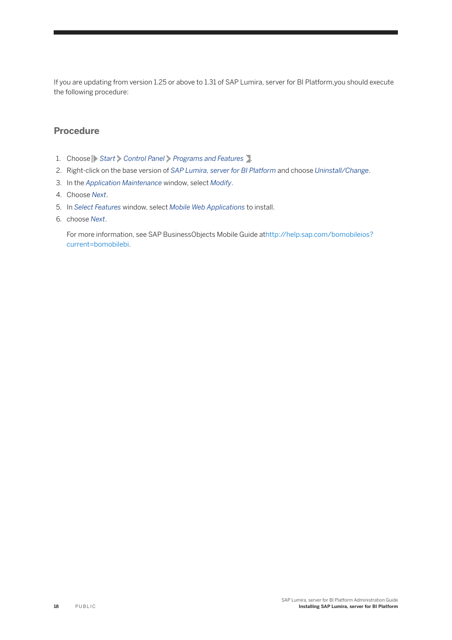If you are updating from version 1.25 or above to 1.31 of SAP Lumira, server for BI Platform,you should execute the following procedure:

### **Procedure**

- 1. Choose **Start** *Control Panel Programs and Features* .
- 2. Right-click on the base version of *SAP Lumira, server for BI Platform* and choose *Uninstall/Change*.
- 3. In the *Application Maintenance* window, select *Modify*.
- 4. Choose *Next*.
- 5. In *Select Features* window, select *Mobile Web Applications* to install.
- 6. choose *Next*.

For more information, see SAP BusinessObjects Mobile Guide at[http://help.sap.com/bomobileios?](http://help.sap.com/bomobileios?current=bomobilebi) [current=bomobilebi.](http://help.sap.com/bomobileios?current=bomobilebi)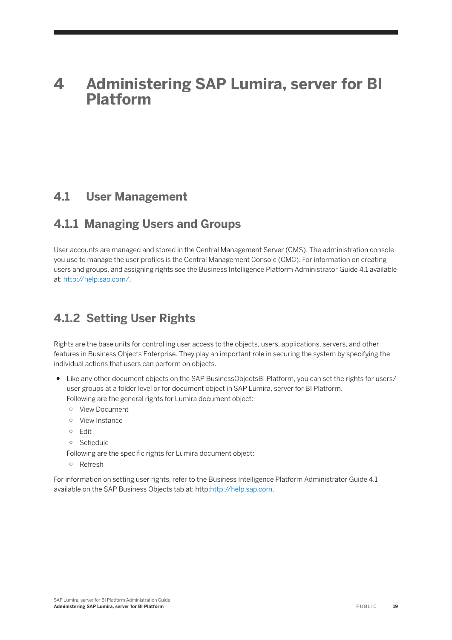# <span id="page-18-0"></span>**4 Administering SAP Lumira, server for BI Platform**

## **4.1 User Management**

## **4.1.1 Managing Users and Groups**

User accounts are managed and stored in the Central Management Server (CMS). The administration console you use to manage the user profiles is the Central Management Console (CMC). For information on creating users and groups, and assigning rights see the Business Intelligence Platform Administrator Guide 4.1 available at: <http://help.sap.com/>.

## **4.1.2 Setting User Rights**

Rights are the base units for controlling user access to the objects, users, applications, servers, and other features in Business Objects Enterprise. They play an important role in securing the system by specifying the individual actions that users can perform on objects.

- Like any other document objects on the SAP BusinessObjectsBI Platform, you can set the rights for users/ user groups at a folder level or for document object in SAP Lumira, server for BI Platform. Following are the general rights for Lumira document object:
	- View Document
	- View Instance
	- Edit
	- Schedule
	- Following are the specific rights for Lumira document object:
	- Refresh

For information on setting user rights, refer to the Business Intelligence Platform Administrator Guide 4.1 available on the SAP Business Objects tab at: http:[http://help.sap.com.](http://help.sap.com)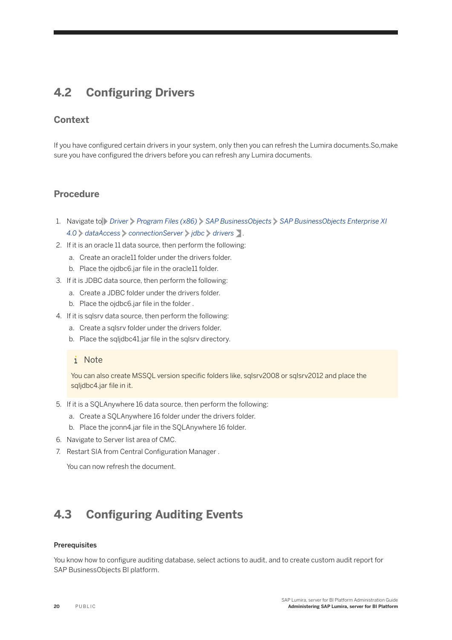## <span id="page-19-0"></span>**4.2 Configuring Drivers**

### **Context**

If you have configured certain drivers in your system, only then you can refresh the Lumira documents.So,make sure you have configured the drivers before you can refresh any Lumira documents.

### **Procedure**

- 1. Navigate to *Driver Program Files (x86) SAP BusinessObjects SAP BusinessObjects Enterprise XI 4.0 dataAccess connectionServer jdbc drivers* .
- 2. If it is an oracle 11 data source, then perform the following:
	- a. Create an oracle11 folder under the drivers folder.
	- b. Place the ojdbc6.jar file in the oracle11 folder.
- 3. If it is JDBC data source, then perform the following:
	- a. Create a JDBC folder under the drivers folder.
	- b. Place the ojdbc6.jar file in the folder .
- 4. If it is sqlsrv data source, then perform the following:
	- a. Create a sqlsrv folder under the drivers folder.
	- b. Place the sqljdbc41.jar file in the sqlsrv directory.

#### i Note

You can also create MSSQL version specific folders like, sqlsrv2008 or sqlsrv2012 and place the sqljdbc4.jar file in it.

- 5. If it is a SQLAnywhere 16 data source, then perform the following:
	- a. Create a SQLAnywhere 16 folder under the drivers folder.
	- b. Place the jconn4.jar file in the SQLAnywhere 16 folder.
- 6. Navigate to Server list area of CMC.
- 7. Restart SIA from Central Configuration Manager.

You can now refresh the document.

## **4.3 Configuring Auditing Events**

#### **Prerequisites**

You know how to configure auditing database, select actions to audit, and to create custom audit report for SAP BusinessObjects BI platform.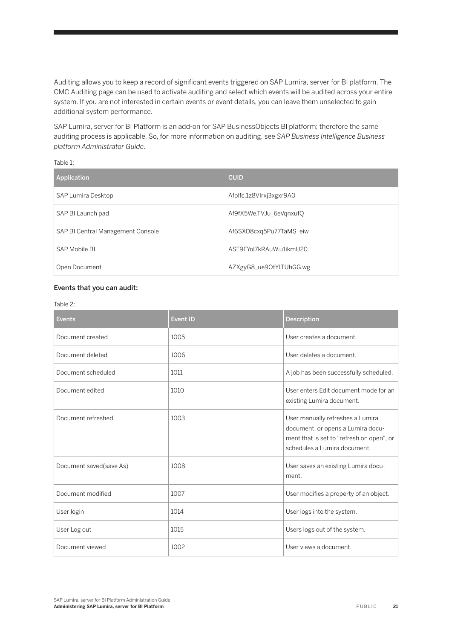Auditing allows you to keep a record of significant events triggered on SAP Lumira, server for BI platform. The CMC Auditing page can be used to activate auditing and select which events will be audited across your entire system. If you are not interested in certain events or event details, you can leave them unselected to gain additional system performance.

SAP Lumira, server for BI Platform is an add-on for SAP BusinessObjects BI platform; therefore the same auditing process is applicable. So, for more information on auditing, see *SAP Business Intelligence Business platform Administrator Guide*.

Table 1:

| Application                       | <b>CUID</b>             |
|-----------------------------------|-------------------------|
| SAP Lumira Desktop                | Afplfc.1z8Vlrxj3xgxr9A0 |
| SAP BI Launch pad                 | Af9fX5We.TVJu_6eVgnxufQ |
| SAP BI Central Management Console | Af6SXD8cxq5Pu77TaMS_eiw |
| SAP Mobile BI                     | ASF9FYol7kRAuW.u1ikmU20 |
| Open Document                     | AZXgyG8_ue9OtYITUhGG.wg |

#### Events that you can audit:

Table 2:

| <b>Events</b>           | <b>Event ID</b> | Description                                                                                                                                        |
|-------------------------|-----------------|----------------------------------------------------------------------------------------------------------------------------------------------------|
| Document created        | 1005            | User creates a document.                                                                                                                           |
| Document deleted        | 1006            | User deletes a document.                                                                                                                           |
| Document scheduled      | 1011            | A job has been successfully scheduled.                                                                                                             |
| Document edited         | 1010            | User enters Edit document mode for an<br>existing Lumira document.                                                                                 |
| Document refreshed      | 1003            | User manually refreshes a Lumira<br>document, or opens a Lumira docu-<br>ment that is set to "refresh on open", or<br>schedules a Lumira document. |
| Document saved(save As) | 1008            | User saves an existing Lumira docu-<br>ment.                                                                                                       |
| Document modified       | 1007            | User modifies a property of an object.                                                                                                             |
| User login              | 1014            | User logs into the system.                                                                                                                         |
| User Log out            | 1015            | Users logs out of the system.                                                                                                                      |
| Document viewed         | 1002            | User views a document.                                                                                                                             |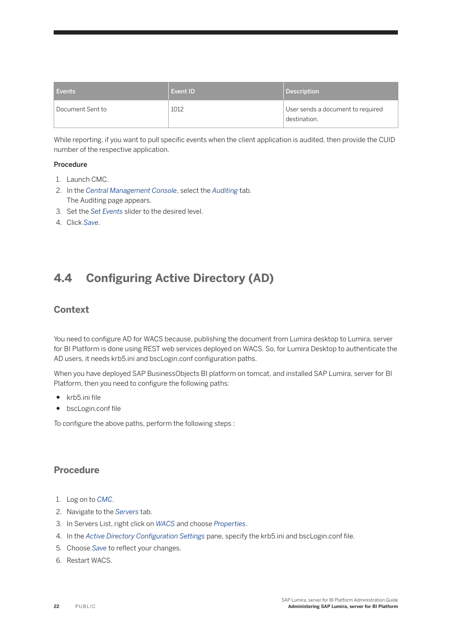<span id="page-21-0"></span>

| <b>Events</b>    | Event ID | Description                                       |
|------------------|----------|---------------------------------------------------|
| Document Sent to | 1012     | User sends a document to required<br>destination. |

While reporting, if you want to pull specific events when the client application is audited, then provide the CUID number of the respective application.

#### Procedure

- 1. Launch CMC.
- 2. In the *Central Management Console*, select the *Auditing* tab. The Auditing page appears.
- 3. Set the *Set Events* slider to the desired level.
- 4. Click *Save*.

## **4.4 Configuring Active Directory (AD)**

### **Context**

You need to configure AD for WACS because, publishing the document from Lumira desktop to Lumira, server for BI Platform is done using REST web services deployed on WACS. So, for Lumira Desktop to authenticate the AD users, it needs krb5.ini and bscLogin.conf configuration paths.

When you have deployed SAP BusinessObjects BI platform on tomcat, and installed SAP Lumira, server for BI Platform, then you need to configure the following paths:

- krb5.ini file
- bscLogin.conf file

To configure the above paths, perform the following steps :

### **Procedure**

- 1. Log on to *CMC*.
- 2. Navigate to the *Servers* tab.
- 3. In Servers List, right click on *WACS* and choose *Properties*.
- 4. In the *Active Directory Configuration Settings* pane, specify the krb5.ini and bscLogin.conf file.
- 5. Choose *Save* to reflect your changes.
- 6. Restart WACS.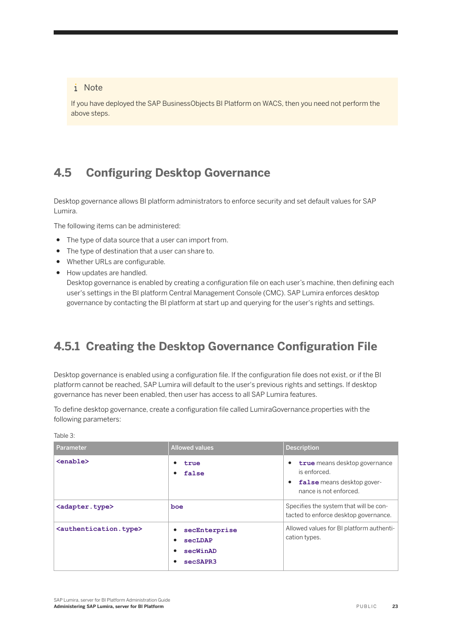### <span id="page-22-0"></span>i Note

If you have deployed the SAP BusinessObjects BI Platform on WACS, then you need not perform the above steps.

## **4.5 Configuring Desktop Governance**

Desktop governance allows BI platform administrators to enforce security and set default values for SAP Lumira.

The following items can be administered:

- The type of data source that a user can import from.
- The type of destination that a user can share to.
- Whether URLs are configurable.
- How updates are handled.

Desktop governance is enabled by creating a configuration file on each user's machine, then defining each user's settings in the BI platform Central Management Console (CMC). SAP Lumira enforces desktop governance by contacting the BI platform at start up and querying for the user's rights and settings.

## **4.5.1 Creating the Desktop Governance Configuration File**

Desktop governance is enabled using a configuration file. If the configuration file does not exist, or if the BI platform cannot be reached, SAP Lumira will default to the user's previous rights and settings. If desktop governance has never been enabled, then user has access to all SAP Lumira features.

To define desktop governance, create a configuration file called LumiraGovernance.properties with the following parameters:

Table 3:

| Parameter                                   | <b>Allowed values</b>                                                | <b>Description</b>                                                                                    |
|---------------------------------------------|----------------------------------------------------------------------|-------------------------------------------------------------------------------------------------------|
| <enable></enable>                           | ٠<br>true<br>false<br>٠                                              | true means desktop governance<br>is enforced.<br>false means desktop gover-<br>nance is not enforced. |
| <adapter.type></adapter.type>               | boe                                                                  | Specifies the system that will be con-<br>tacted to enforce desktop governance.                       |
| <authentication.type></authentication.type> | secEnterprise<br>٠<br>secLDAP<br>٠<br>secWinAD<br>٠<br>secSAPR3<br>٠ | Allowed values for BI platform authenti-<br>cation types.                                             |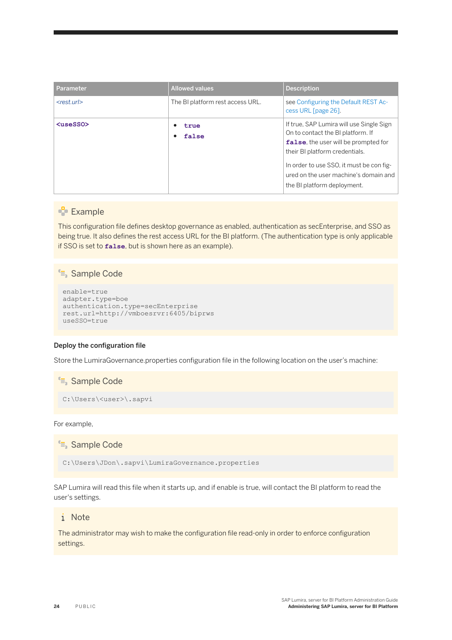| Parameter                  | <b>Allowed values</b>            | <b>Description</b>                                                                                                                                                                                                                                                          |
|----------------------------|----------------------------------|-----------------------------------------------------------------------------------------------------------------------------------------------------------------------------------------------------------------------------------------------------------------------------|
| $<$ rest.url $>$           | The BI platform rest access URL. | see Configuring the Default REST Ac-<br>cess URL [page 26].                                                                                                                                                                                                                 |
| $\langle$ useSSO $\rangle$ | true<br>false                    | If true, SAP Lumira will use Single Sign<br>On to contact the BI platform. If<br>false, the user will be prompted for<br>their BI platform credentials.<br>In order to use SSO, it must be con fig-<br>ured on the user machine's domain and<br>the BI platform deployment. |

#### **Example**

This configuration file defines desktop governance as enabled, authentication as secEnterprise, and SSO as being true. It also defines the rest access URL for the BI platform. (The authentication type is only applicable if SSO is set to **false**, but is shown here as an example).

#### <sup>"</sup>≡ Sample Code

```
enable=true
adapter.type=boe
authentication.type=secEnterprise
rest.url=http://vmboesrvr:6405/biprws
useSSO=true
```
#### Deploy the configuration file

Store the LumiraGovernance.properties configuration file in the following location on the user's machine:

<sup>"</sup>≡, Sample Code C:\Users\<user>\.sapvi

For example,

<sup>"</sup>≡ Sample Code

C:\Users\JDon\.sapvi\LumiraGovernance.properties

SAP Lumira will read this file when it starts up, and if enable is true, will contact the BI platform to read the user's settings.

#### i Note

The administrator may wish to make the configuration file read-only in order to enforce configuration settings.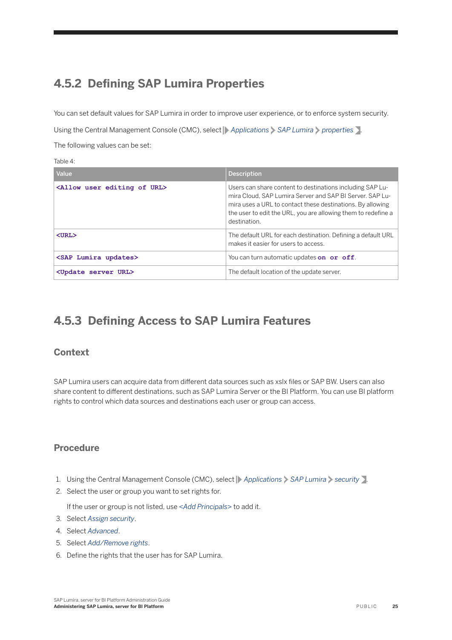## <span id="page-24-0"></span>**4.5.2 Defining SAP Lumira Properties**

You can set default values for SAP Lumira in order to improve user experience, or to enforce system security. Using the Central Management Console (CMC), select **Applications** > SAP Lumira > properties . The following values can be set:

Table 4:

| Value                                           | <b>Description</b>                                                                                                                                                                                                                                                   |
|-------------------------------------------------|----------------------------------------------------------------------------------------------------------------------------------------------------------------------------------------------------------------------------------------------------------------------|
| <allow editing="" of="" url="" user=""></allow> | Users can share content to destinations including SAP Lu-<br>mira Cloud, SAP Lumira Server and SAP BI Server. SAP Lu-<br>mira uses a URL to contact these destinations. By allowing<br>the user to edit the URL, you are allowing them to redefine a<br>destination. |
| $TIME$                                          | The default URL for each destination. Defining a default URL<br>makes it easier for users to access.                                                                                                                                                                 |
| <sap lumira="" updates=""></sap>                | You can turn automatic updates on or off.                                                                                                                                                                                                                            |
| <update server="" url=""></update>              | The default location of the update server.                                                                                                                                                                                                                           |

## **4.5.3 Defining Access to SAP Lumira Features**

### **Context**

SAP Lumira users can acquire data from different data sources such as xslx files or SAP BW. Users can also share content to different destinations, such as SAP Lumira Server or the BI Platform. You can use BI platform rights to control which data sources and destinations each user or group can access.

### **Procedure**

- 1. Using the Central Management Console (CMC), select **Applications** > SAP Lumira > security >.
- 2. Select the user or group you want to set rights for.

If the user or group is not listed, use *<Add Principals>* to add it.

- 3. Select *Assign security*.
- 4. Select *Advanced*.
- 5. Select *Add/Remove rights*.
- 6. Define the rights that the user has for SAP Lumira.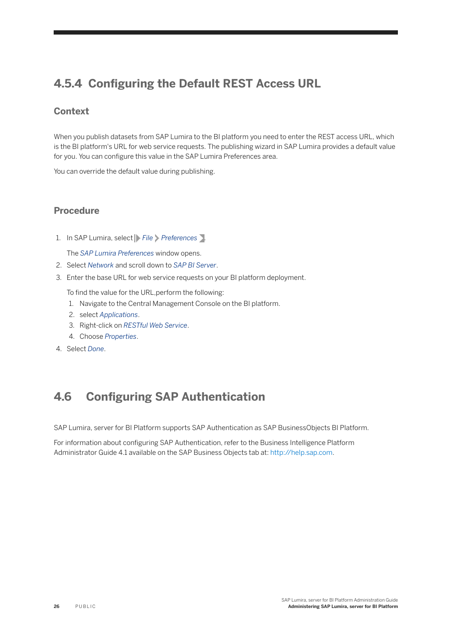## <span id="page-25-0"></span>**4.5.4 Configuring the Default REST Access URL**

## **Context**

When you publish datasets from SAP Lumira to the BI platform you need to enter the REST access URL, which is the BI platform's URL for web service requests. The publishing wizard in SAP Lumira provides a default value for you. You can configure this value in the SAP Lumira Preferences area.

You can override the default value during publishing.

### **Procedure**

1. In SAP Lumira, select **File Preferences** .

The *SAP Lumira Preferences* window opens.

- 2. Select *Network* and scroll down to *SAP BI Server*.
- 3. Enter the base URL for web service requests on your BI platform deployment.
	- To find the value for the URL,perform the following:
	- 1. Navigate to the Central Management Console on the BI platform.
	- 2. select *Applications*.
	- 3. Right-click on *RESTful Web Service*.
	- 4. Choose *Properties*.
- 4. Select *Done*.

## **4.6 Configuring SAP Authentication**

SAP Lumira, server for BI Platform supports SAP Authentication as SAP BusinessObjects BI Platform.

For information about configuring SAP Authentication, refer to the Business Intelligence Platform Administrator Guide 4.1 available on the SAP Business Objects tab at:<http://help.sap.com>.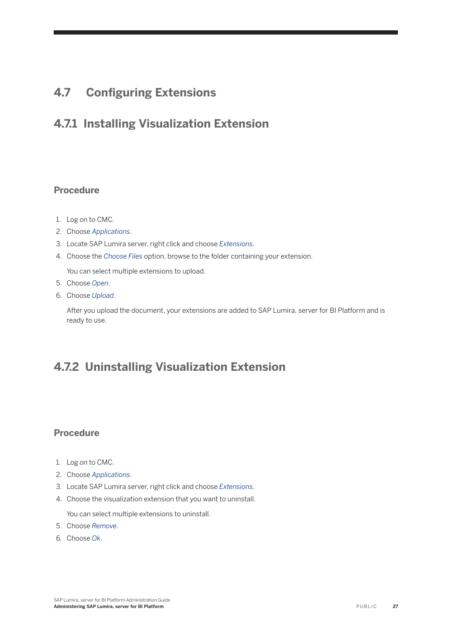## <span id="page-26-0"></span>**4.7 Configuring Extensions**

## **4.7.1 Installing Visualization Extension**

### **Procedure**

- 1. Log on to CMC.
- 2. Choose *Applications*.
- 3. Locate SAP Lumira server, right click and choose *Extensions*.
- 4. Choose the *Choose Files* option, browse to the folder containing your extension.

You can select multiple extensions to upload.

- 5. Choose *Open*.
- 6. Choose *Upload*.

After you upload the document, your extensions are added to SAP Lumira, server for BI Platform and is ready to use.

## **4.7.2 Uninstalling Visualization Extension**

### **Procedure**

- 1. Log on to CMC.
- 2. Choose *Applications*.
- 3. Locate SAP Lumira server, right click and choose *Extensions*.
- 4. Choose the visualization extension that you want to uninstall.

You can select multiple extensions to uninstall.

- 5. Choose *Remove*.
- 6. Choose *Ok*.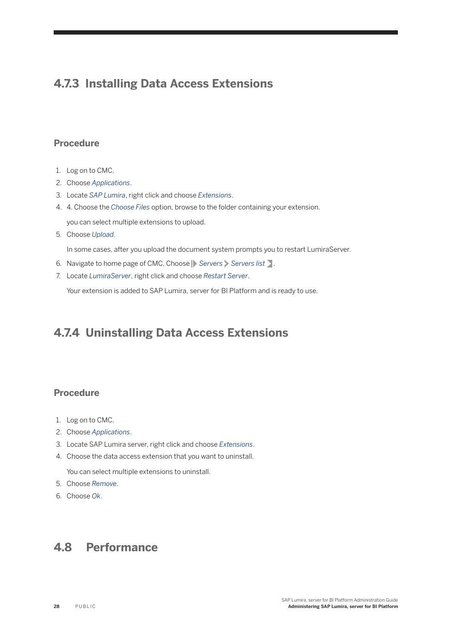## <span id="page-27-0"></span>**4.7.3 Installing Data Access Extensions**

### **Procedure**

- 1. Log on to CMC.
- 2. Choose *Applications*.
- 3. Locate *SAP Lumira*, right click and choose *Extensions*.
- 4. 4. Choose the *Choose Files* option, browse to the folder containing your extension.

you can select multiple extensions to upload.

5. Choose *Upload*.

In some cases, after you upload the document system prompts you to restart LumiraServer.

- 6. Navigate to home page of CMC, Choose **Servers** Servers list .
- 7. Locate *LumiraServer*, right click and choose *Restart Server*.

Your extension is added to SAP Lumira, server for BI Platform and is ready to use.

## **4.7.4 Uninstalling Data Access Extensions**

### **Procedure**

- 1. Log on to CMC.
- 2. Choose *Applications*.
- 3. Locate SAP Lumira server, right click and choose *Extensions*.
- 4. Choose the data access extension that you want to uninstall.

You can select multiple extensions to uninstall.

- 5. Choose *Remove*.
- 6. Choose *Ok*.

## **4.8 Performance**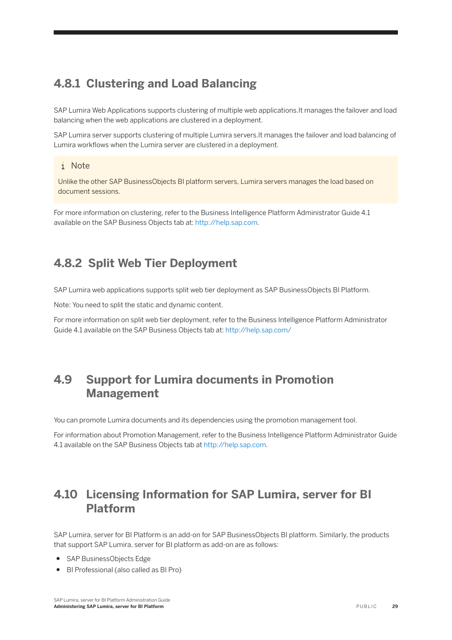## <span id="page-28-0"></span>**4.8.1 Clustering and Load Balancing**

SAP Lumira Web Applications supports clustering of multiple web applications.It manages the failover and load balancing when the web applications are clustered in a deployment.

SAP Lumira server supports clustering of multiple Lumira servers.It manages the failover and load balancing of Lumira workflows when the Lumira server are clustered in a deployment.

### i Note

Unlike the other SAP BusinessObjects BI platform servers, Lumira servers manages the load based on document sessions.

For more information on clustering, refer to the Business Intelligence Platform Administrator Guide 4.1 available on the SAP Business Objects tab at:<http://help.sap.com>.

## **4.8.2 Split Web Tier Deployment**

SAP Lumira web applications supports split web tier deployment as SAP BusinessObjects BI Platform.

Note: You need to split the static and dynamic content.

For more information on split web tier deployment, refer to the Business Intelligence Platform Administrator Guide 4.1 available on the SAP Business Objects tab at:<http://help.sap.com/>

## **4.9 Support for Lumira documents in Promotion Management**

You can promote Lumira documents and its dependencies using the promotion management tool.

For information about Promotion Management, refer to the Business Intelligence Platform Administrator Guide 4.1 available on the SAP Business Objects tab at<http://help.sap.com>.

## **4.10 Licensing Information for SAP Lumira, server for BI Platform**

SAP Lumira, server for BI Platform is an add-on for SAP BusinessObjects BI platform. Similarly, the products that support SAP Lumira, server for BI platform as add-on are as follows:

- SAP BusinessObjects Edge
- BI Professional (also called as BI Pro)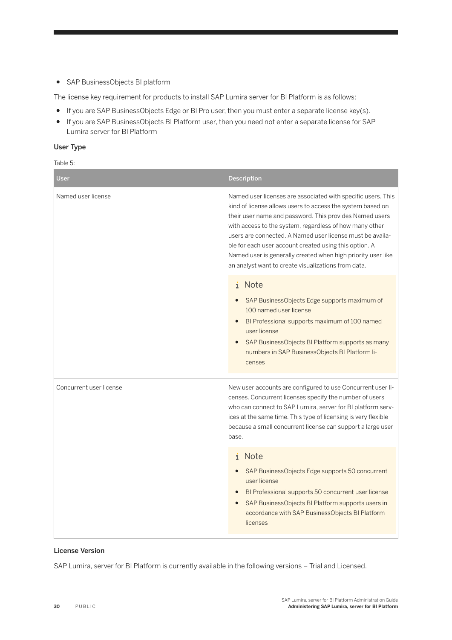● SAP BusinessObjects BI platform

The license key requirement for products to install SAP Lumira server for BI Platform is as follows:

- If you are SAP BusinessObjects Edge or BI Pro user, then you must enter a separate license key(s).
- If you are SAP BusinessObjects BI Platform user, then you need not enter a separate license for SAP Lumira server for BI Platform

#### User Type

Table 5:

| User                    | Description                                                                                                                                                                                                                                                                                                                                                                                                                                                                                    |
|-------------------------|------------------------------------------------------------------------------------------------------------------------------------------------------------------------------------------------------------------------------------------------------------------------------------------------------------------------------------------------------------------------------------------------------------------------------------------------------------------------------------------------|
| Named user license      | Named user licenses are associated with specific users. This<br>kind of license allows users to access the system based on<br>their user name and password. This provides Named users<br>with access to the system, regardless of how many other<br>users are connected. A Named user license must be availa-<br>ble for each user account created using this option. A<br>Named user is generally created when high priority user like<br>an analyst want to create visualizations from data. |
|                         | i Note<br>SAP BusinessObjects Edge supports maximum of<br>100 named user license<br>BI Professional supports maximum of 100 named<br>user license<br>SAP BusinessObjects BI Platform supports as many<br>$\bullet$<br>numbers in SAP BusinessObjects BI Platform li-<br>censes                                                                                                                                                                                                                 |
| Concurrent user license | New user accounts are configured to use Concurrent user li-<br>censes. Concurrent licenses specify the number of users<br>who can connect to SAP Lumira, server for BI platform serv-<br>ices at the same time. This type of licensing is very flexible<br>because a small concurrent license can support a large user<br>base.                                                                                                                                                                |
|                         | i Note<br>SAP BusinessObjects Edge supports 50 concurrent<br>user license<br>BI Professional supports 50 concurrent user license<br>$\bullet$<br>SAP BusinessObjects BI Platform supports users in<br>$\bullet$<br>accordance with SAP BusinessObjects BI Platform<br>licenses                                                                                                                                                                                                                 |

#### License Version

SAP Lumira, server for BI Platform is currently available in the following versions - Trial and Licensed.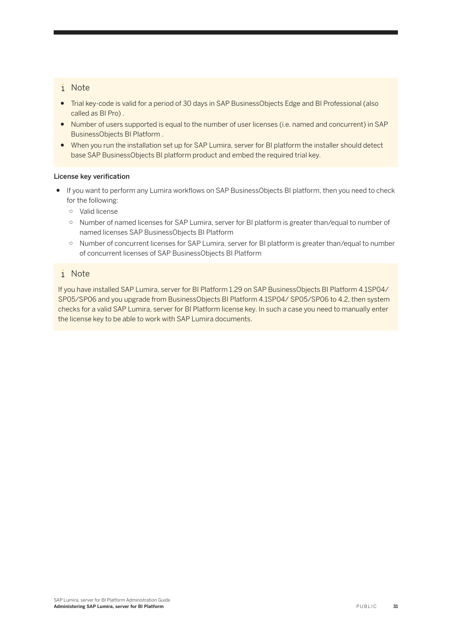### i Note

- Trial key-code is valid for a period of 30 days in SAP BusinessObjects Edge and BI Professional (also called as BI Pro) .
- Number of users supported is equal to the number of user licenses (i.e. named and concurrent) in SAP BusinessObjects BI Platform .
- When you run the installation set up for SAP Lumira, server for BI platform the installer should detect base SAP BusinessObjects BI platform product and embed the required trial key.

#### License key verification

- If you want to perform any Lumira workflows on SAP BusinessObjects BI platform, then you need to check for the following:
	- Valid license
	- Number of named licenses for SAP Lumira, server for BI platform is greater than/equal to number of named licenses SAP BusinessObjects BI Platform
	- Number of concurrent licenses for SAP Lumira, server for BI platform is greater than/equal to number of concurrent licenses of SAP BusinessObjects BI Platform

### i Note

If you have installed SAP Lumira, server for BI Platform 1.29 on SAP BusinessObjects BI Platform 4.1SP04/ SP05/SP06 and you upgrade from BusinessObjects BI Platform 4.1SP04/ SP05/SP06 to 4.2, then system checks for a valid SAP Lumira, server for BI Platform license key. In such a case you need to manually enter the license key to be able to work with SAP Lumira documents.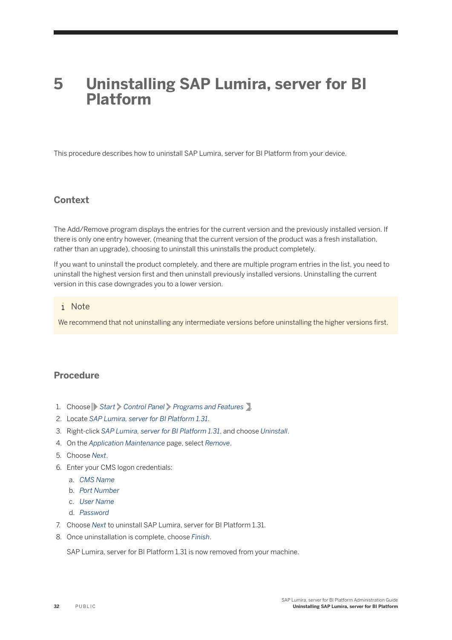# <span id="page-31-0"></span>**5 Uninstalling SAP Lumira, server for BI Platform**

This procedure describes how to uninstall SAP Lumira, server for BI Platform from your device.

### **Context**

The Add/Remove program displays the entries for the current version and the previously installed version. If there is only one entry however, (meaning that the current version of the product was a fresh installation, rather than an upgrade), choosing to uninstall this uninstalls the product completely.

If you want to uninstall the product completely, and there are multiple program entries in the list, you need to uninstall the highest version first and then uninstall previously installed versions. Uninstalling the current version in this case downgrades you to a lower version.

#### i Note

We recommend that not uninstalling any intermediate versions before uninstalling the higher versions first.

### **Procedure**

- 1. Choose **Start** *Control Panel Programs and Features* .
- 2. Locate *SAP Lumira, server for BI Platform 1.31*.
- 3. Right-click *SAP Lumira, server for BI Platform 1.31*, and choose *Uninstall*.
- 4. On the *Application Maintenance* page, select *Remove*.
- 5. Choose *Next*.
- 6. Enter your CMS logon credentials:
	- a. *CMS Name*
	- b. *Port Number*
	- c. *User Name*
	- d. *Password*
- 7. Choose *Next* to uninstall SAP Lumira, server for BI Platform 1.31.
- 8. Once uninstallation is complete, choose *Finish*.

SAP Lumira, server for BI Platform 1.31 is now removed from your machine.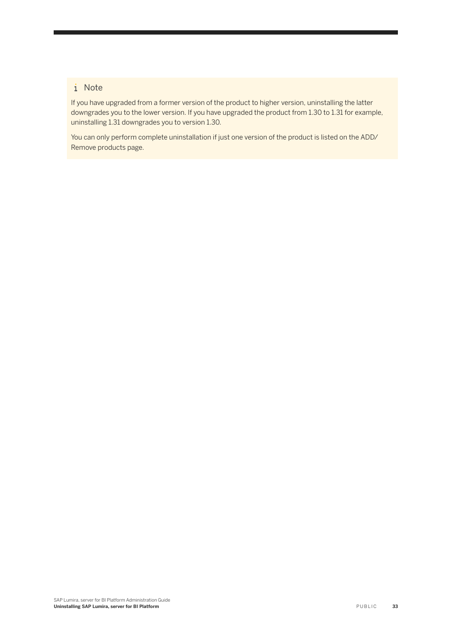### i Note

If you have upgraded from a former version of the product to higher version, uninstalling the latter downgrades you to the lower version. If you have upgraded the product from 1.30 to 1.31 for example, uninstalling 1.31 downgrades you to version 1.30.

You can only perform complete uninstallation if just one version of the product is listed on the ADD/ Remove products page.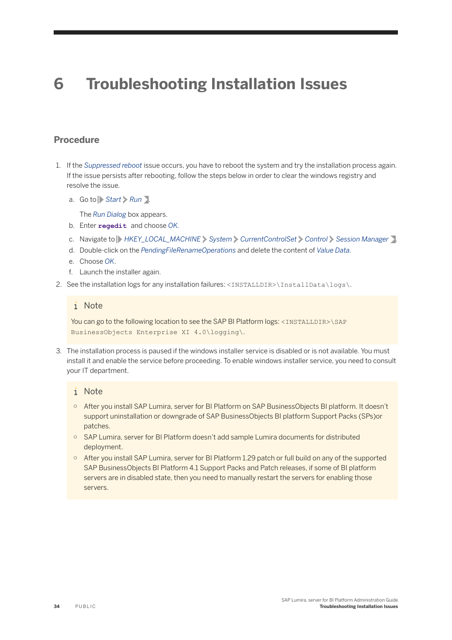# <span id="page-33-0"></span>**6 Troubleshooting Installation Issues**

### **Procedure**

- 1. If the *Suppressed reboot* issue occurs, you have to reboot the system and try the installation process again. If the issue persists after rebooting, follow the steps below in order to clear the windows registry and resolve the issue.
	- a. Go to *Start Run* .

The *Run Dialog* box appears.

- b. Enter **regedit** and choose *OK.*
- c. Navigate to *HKEY\_LOCAL\_MACHINE System CurrentControlSet Control Session Manager* .
- d. Double-click on the *PendingFileRenameOperations* and delete the content of *Value Data.*
- e. Choose *OK*.
- f. Launch the installer again.
- 2. See the installation logs for any installation failures: <INSTALLDIR>\InstallData\logs\.

#### i Note

You can go to the following location to see the SAP BI Platform logs: <INSTALLDIR>\SAP BusinessObjects Enterprise XI 4.0\logging\.

3. The installation process is paused if the windows installer service is disabled or is not available. You must install it and enable the service before proceeding. To enable windows installer service, you need to consult your IT department.

#### i Note

- After you install SAP Lumira, server for BI Platform on SAP BusinessObjects BI platform. It doesn't support uninstallation or downgrade of SAP BusinessObjects BI platform Support Packs (SPs)or patches.
- SAP Lumira, server for BI Platform doesn't add sample Lumira documents for distributed deployment.
- After you install SAP Lumira, server for BI Platform 1.29 patch or full build on any of the supported SAP BusinessObjects BI Platform 4.1 Support Packs and Patch releases, if some of BI platform servers are in disabled state, then you need to manually restart the servers for enabling those servers.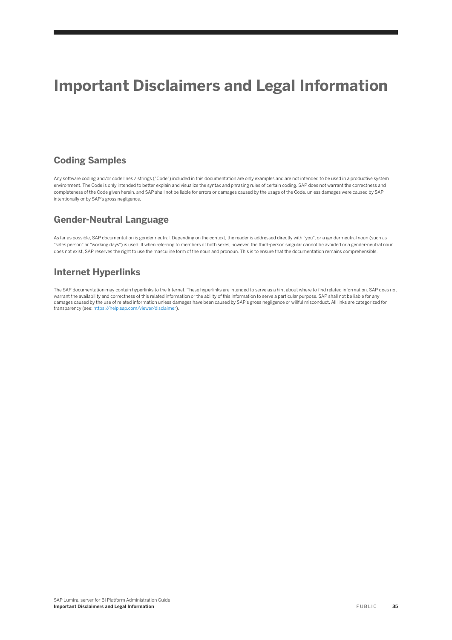# **Important Disclaimers and Legal Information**

### **Coding Samples**

Any software coding and/or code lines / strings ("Code") included in this documentation are only examples and are not intended to be used in a productive system environment. The Code is only intended to better explain and visualize the syntax and phrasing rules of certain coding. SAP does not warrant the correctness and completeness of the Code given herein, and SAP shall not be liable for errors or damages caused by the usage of the Code, unless damages were caused by SAP intentionally or by SAP's gross negligence.

### **Gender-Neutral Language**

As far as possible, SAP documentation is gender neutral. Depending on the context, the reader is addressed directly with "you", or a gender-neutral noun (such as "sales person" or "working days") is used. If when referring to members of both sexes, however, the third-person singular cannot be avoided or a gender-neutral noun does not exist, SAP reserves the right to use the masculine form of the noun and pronoun. This is to ensure that the documentation remains comprehensible

### **Internet Hyperlinks**

The SAP documentation may contain hyperlinks to the Internet. These hyperlinks are intended to serve as a hint about where to find related information. SAP does not warrant the availability and correctness of this related information or the ability of this information to serve a particular purpose. SAP shall not be liable for any damages caused by the use of related information unless damages have been caused by SAP's gross negligence or willful misconduct. All links are categorized for transparency (see:<https://help.sap.com/viewer/disclaimer>).